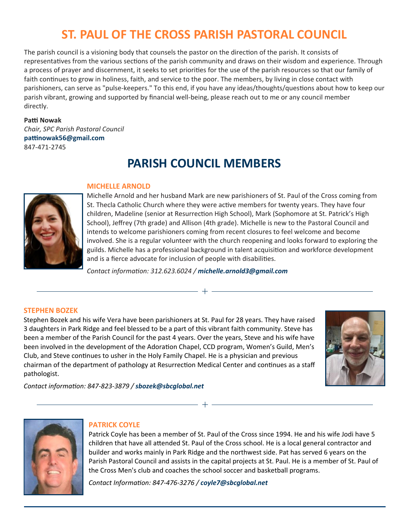# **ST. PAUL OF THE CROSS PARISH PASTORAL COUNCIL**

The parish council is a visioning body that counsels the pastor on the direction of the parish. It consists of representatives from the various sections of the parish community and draws on their wisdom and experience. Through a process of prayer and discernment, it seeks to set priorities for the use of the parish resources so that our family of faith continues to grow in holiness, faith, and service to the poor. The members, by living in close contact with parishioners, can serve as "pulse-keepers." To this end, if you have any ideas/thoughts/questions about how to keep our parish vibrant, growing and supported by financial well-being, please reach out to me or any council member directly.

#### **Paƫ Nowak**

*Chair, SPC Parish Pastoral Council*  **paƫnowak56@gmail.com**  847-471-2745

## **PARISH COUNCIL MEMBERS**



#### **MICHELLE ARNOLD**

Michelle Arnold and her husband Mark are new parishioners of St. Paul of the Cross coming from St. Thecla Catholic Church where they were active members for twenty years. They have four children, Madeline (senior at Resurrection High School), Mark (Sophomore at St. Patrick's High School), Jeffrey (7th grade) and Allison (4th grade). Michelle is new to the Pastoral Council and intends to welcome parishioners coming from recent closures to feel welcome and become involved. She is a regular volunteer with the church reopening and looks forward to exploring the guilds. Michelle has a professional background in talent acquisition and workforce development and is a fierce advocate for inclusion of people with disabilities.

*Contact informaƟon: 312.623.6024 / michelle.arnold3@gmail.com*

+

#### **STEPHEN BOZEK**

Stephen Bozek and his wife Vera have been parishioners at St. Paul for 28 years. They have raised 3 daughters in Park Ridge and feel blessed to be a part of this vibrant faith community. Steve has been a member of the Parish Council for the past 4 years. Over the years, Steve and his wife have been involved in the development of the Adoration Chapel, CCD program, Women's Guild, Men's Club, and Steve conƟnues to usher in the Holy Family Chapel. He is a physician and previous chairman of the department of pathology at Resurrection Medical Center and continues as a staff pathologist.



*Contact informaƟon: 847-823-3879 / sbozek@sbcglobal.net*



#### **PATRICK COYLE**

Patrick Coyle has been a member of St. Paul of the Cross since 1994. He and his wife Jodi have 5 children that have all attended St. Paul of the Cross school. He is a local general contractor and builder and works mainly in Park Ridge and the northwest side. Pat has served 6 years on the Parish Pastoral Council and assists in the capital projects at St. Paul. He is a member of St. Paul of the Cross Men's club and coaches the school soccer and basketball programs.

 $-+$   $-$ 

*Contact InformaƟon: 847-476-3276 / coyle7@sbcglobal.net*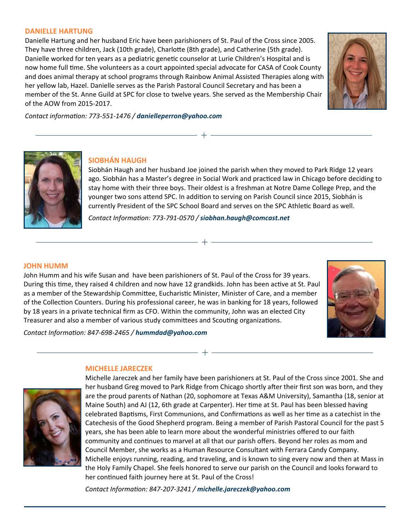#### **DANIELLE HARTUNG**

Danielle Hartung and her husband Eric have been parishioners of St. Paul of the Cross since 2005. They have three children, Jack (10th grade), Charlotte (8th grade), and Catherine (5th grade). Danielle worked for ten years as a pediatric genetic counselor at Lurie Children's Hospital and is now home full time. She volunteers as a court appointed special advocate for CASA of Cook County and does animal therapy at school programs through Rainbow Animal Assisted Therapies along with her yellow lab, Hazel. Danielle serves as the Parish Pastoral Council Secretary and has been a member of the St. Anne Guild at SPC for close to twelve years. She served as the Membership Chair of the AOW from 2015-2017.



*Contact informaƟon: 773-551-1476 / danielleperron@yahoo.com*



## **SIOBHÁN HAUGH**

Siobhán Haugh and her husband Joe joined the parish when they moved to Park Ridge 12 years ago. Siobhán has a Master's degree in Social Work and practiced law in Chicago before deciding to stay home with their three boys. Their oldest is a freshman at Notre Dame College Prep, and the younger two sons attend SPC. In addition to serving on Parish Council since 2015, Siobhán is currently President of the SPC School Board and serves on the SPC Athletic Board as well.

*Contact InformaƟon: 773-791-0570 / siobhan.haugh@comcast.net*

 $+$ 

 $+$ 

 $- + -$ 

#### **JOHN HUMM**

John Humm and his wife Susan and have been parishioners of St. Paul of the Cross for 39 years. During this time, they raised 4 children and now have 12 grandkids. John has been active at St. Paul as a member of the Stewardship Committee, Eucharistic Minister, Minister of Care, and a member of the Collection Counters. During his professional career, he was in banking for 18 years, followed by 18 years in a private technical firm as CFO. Within the community, John was an elected City Treasurer and also a member of various study committees and Scouting organizations.



*Contact InformaƟon: 847-698-2465 / hummdad@yahoo.com*

## **MICHELLE JARECZEK**



Michelle Jareczek and her family have been parishioners at St. Paul of the Cross since 2001. She and her husband Greg moved to Park Ridge from Chicago shortly after their first son was born, and they are the proud parents of Nathan (20, sophomore at Texas A&M University), Samantha (18, senior at Maine South) and AJ (12, 6th grade at Carpenter). Her time at St. Paul has been blessed having celebrated Baptisms, First Communions, and Confirmations as well as her time as a catechist in the Catechesis of the Good Shepherd program. Being a member of Parish Pastoral Council for the past 5 years, she has been able to learn more about the wonderful ministries offered to our faith community and continues to marvel at all that our parish offers. Beyond her roles as mom and Council Member, she works as a Human Resource Consultant with Ferrara Candy Company. Michelle enjoys running, reading, and traveling, and is known to sing every now and then at Mass in the Holy Family Chapel. She feels honored to serve our parish on the Council and looks forward to her continued faith journey here at St. Paul of the Cross!

*Contact InformaƟon: 847-207-3241 / michelle.jareczek@yahoo.com*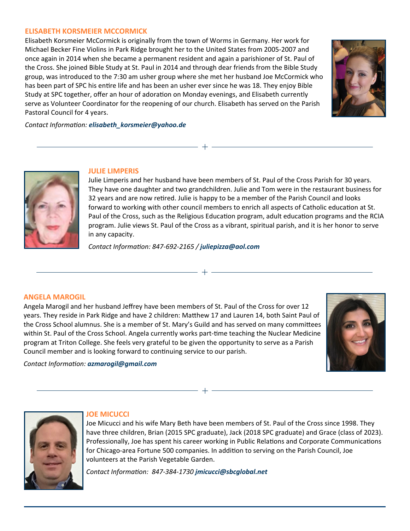#### **ELISABETH KORSMEIER MCCORMICK**

Elisabeth Korsmeier McCormick is originally from the town of Worms in Germany. Her work for Michael Becker Fine Violins in Park Ridge brought her to the United States from 2005-2007 and once again in 2014 when she became a permanent resident and again a parishioner of St. Paul of the Cross. She joined Bible Study at St. Paul in 2014 and through dear friends from the Bible Study group, was introduced to the 7:30 am usher group where she met her husband Joe McCormick who has been part of SPC his entire life and has been an usher ever since he was 18. They enjoy Bible Study at SPC together, offer an hour of adoration on Monday evenings, and Elisabeth currently serve as Volunteer Coordinator for the reopening of our church. Elisabeth has served on the Parish Pastoral Council for 4 years.



*Contact InformaƟon: elisabeth\_korsmeier@yahoo.de*



## **JULIE LIMPERIS**

Julie Limperis and her husband have been members of St. Paul of the Cross Parish for 30 years. They have one daughter and two grandchildren. Julie and Tom were in the restaurant business for 32 years and are now retired. Julie is happy to be a member of the Parish Council and looks forward to working with other council members to enrich all aspects of Catholic education at St. Paul of the Cross, such as the Religious Education program, adult education programs and the RCIA program. Julie views St. Paul of the Cross as a vibrant, spiritual parish, and it is her honor to serve in any capacity.

 $+$ 

 $+$ 

 $+$ 

*Contact InformaƟon: 847-692-2165 / juliepizza@aol.com*

#### **ANGELA MAROGIL**

Angela Marogil and her husband Jeffrey have been members of St. Paul of the Cross for over 12 years. They reside in Park Ridge and have 2 children: Matthew 17 and Lauren 14, both Saint Paul of the Cross School alumnus. She is a member of St. Mary's Guild and has served on many committees within St. Paul of the Cross School. Angela currently works part-time teaching the Nuclear Medicine program at Triton College. She feels very grateful to be given the opportunity to serve as a Parish Council member and is looking forward to continuing service to our parish.

*Contact InformaƟon: azmarogil@gmail.com*





## **JOE MICUCCI**

Joe Micucci and his wife Mary Beth have been members of St. Paul of the Cross since 1998. They have three children, Brian (2015 SPC graduate), Jack (2018 SPC graduate) and Grace (class of 2023). Professionally, Joe has spent his career working in Public Relations and Corporate Communications for Chicago-area Fortune 500 companies. In addition to serving on the Parish Council, Joe volunteers at the Parish Vegetable Garden.

*Contact InformaƟon: 847-384-1730 jmicucci@sbcglobal.net*